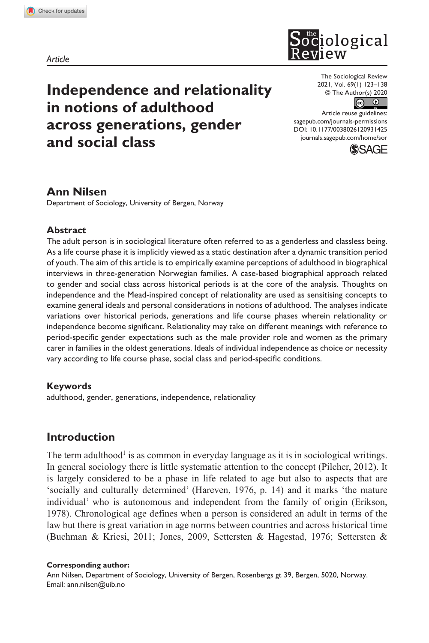**9314[25](http://crossmark.crossref.org/dialog/?doi=10.1177%2F0038026120931425&domain=pdf&date_stamp=2020-06-02)**SOR0010.1177/0038026120931425The Sociological Review**Nilsen**

*Article*



**Independence and relationality in notions of adulthood across generations, gender and social class**

The Sociological Review 2021, Vol. 69(1) 123–138 © The Author(s) 2020



DOI: 10.1177/0038026120931425 Article reuse guidelines: [sagepub.com/journals-permissions](https://uk.sagepub.com/en-gb/journals-permissions) [journals.sagepub.com/home/sor](https://journals.sagepub.com/home/sor)



## **Ann Nilsen**

Department of Sociology, University of Bergen, Norway

### **Abstract**

The adult person is in sociological literature often referred to as a genderless and classless being. As a life course phase it is implicitly viewed as a static destination after a dynamic transition period of youth. The aim of this article is to empirically examine perceptions of adulthood in biographical interviews in three-generation Norwegian families. A case-based biographical approach related to gender and social class across historical periods is at the core of the analysis. Thoughts on independence and the Mead-inspired concept of relationality are used as sensitising concepts to examine general ideals and personal considerations in notions of adulthood. The analyses indicate variations over historical periods, generations and life course phases wherein relationality or independence become significant. Relationality may take on different meanings with reference to period-specific gender expectations such as the male provider role and women as the primary carer in families in the oldest generations. Ideals of individual independence as choice or necessity vary according to life course phase, social class and period-specific conditions.

### **Keywords**

adulthood, gender, generations, independence, relationality

# **Introduction**

The term adulthood<sup>1</sup> is as common in everyday language as it is in sociological writings. In general sociology there is little systematic attention to the concept (Pilcher, 2012). It is largely considered to be a phase in life related to age but also to aspects that are 'socially and culturally determined' (Hareven, 1976, p. 14) and it marks 'the mature individual' who is autonomous and independent from the family of origin (Erikson, 1978). Chronological age defines when a person is considered an adult in terms of the law but there is great variation in age norms between countries and across historical time (Buchman & Kriesi, 2011; Jones, 2009, Settersten & Hagestad, 1976; Settersten &

#### **Corresponding author:**

Ann Nilsen, Department of Sociology, University of Bergen, Rosenbergs gt 39, Bergen, 5020, Norway. Email: [ann.nilsen@uib.no](mailto:ann.nilsen@uib.no)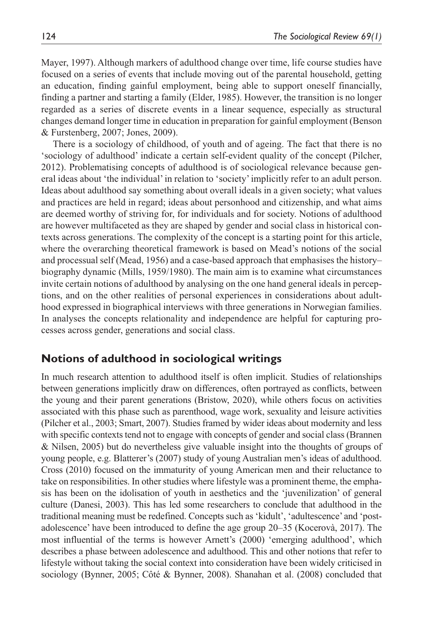Mayer, 1997). Although markers of adulthood change over time, life course studies have focused on a series of events that include moving out of the parental household, getting an education, finding gainful employment, being able to support oneself financially, finding a partner and starting a family (Elder, 1985). However, the transition is no longer regarded as a series of discrete events in a linear sequence, especially as structural changes demand longer time in education in preparation for gainful employment (Benson & Furstenberg, 2007; Jones, 2009).

There is a sociology of childhood, of youth and of ageing. The fact that there is no 'sociology of adulthood' indicate a certain self-evident quality of the concept (Pilcher, 2012). Problematising concepts of adulthood is of sociological relevance because general ideas about 'the individual' in relation to 'society' implicitly refer to an adult person. Ideas about adulthood say something about overall ideals in a given society; what values and practices are held in regard; ideas about personhood and citizenship, and what aims are deemed worthy of striving for, for individuals and for society. Notions of adulthood are however multifaceted as they are shaped by gender and social class in historical contexts across generations. The complexity of the concept is a starting point for this article, where the overarching theoretical framework is based on Mead's notions of the social and processual self (Mead, 1956) and a case-based approach that emphasises the history– biography dynamic (Mills, 1959/1980). The main aim is to examine what circumstances invite certain notions of adulthood by analysing on the one hand general ideals in perceptions, and on the other realities of personal experiences in considerations about adulthood expressed in biographical interviews with three generations in Norwegian families. In analyses the concepts relationality and independence are helpful for capturing processes across gender, generations and social class.

## **Notions of adulthood in sociological writings**

In much research attention to adulthood itself is often implicit. Studies of relationships between generations implicitly draw on differences, often portrayed as conflicts, between the young and their parent generations (Bristow, 2020), while others focus on activities associated with this phase such as parenthood, wage work, sexuality and leisure activities (Pilcher et al., 2003; Smart, 2007). Studies framed by wider ideas about modernity and less with specific contexts tend not to engage with concepts of gender and social class (Brannen & Nilsen, 2005) but do nevertheless give valuable insight into the thoughts of groups of young people, e.g. Blatterer's (2007) study of young Australian men's ideas of adulthood. Cross (2010) focused on the immaturity of young American men and their reluctance to take on responsibilities. In other studies where lifestyle was a prominent theme, the emphasis has been on the idolisation of youth in aesthetics and the 'juvenilization' of general culture (Danesi, 2003). This has led some researchers to conclude that adulthood in the traditional meaning must be redefined. Concepts such as 'kidult', 'adultescence' and 'postadolescence' have been introduced to define the age group 20–35 (Kocerovà, 2017). The most influential of the terms is however Arnett's (2000) 'emerging adulthood', which describes a phase between adolescence and adulthood. This and other notions that refer to lifestyle without taking the social context into consideration have been widely criticised in sociology (Bynner, 2005; Côté & Bynner, 2008). Shanahan et al. (2008) concluded that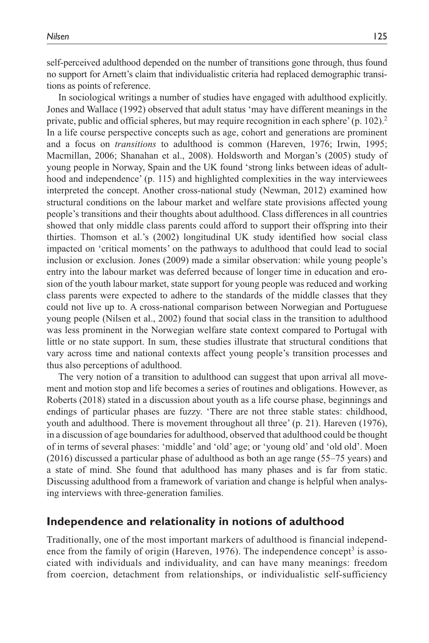self-perceived adulthood depended on the number of transitions gone through, thus found no support for Arnett's claim that individualistic criteria had replaced demographic transitions as points of reference.

In sociological writings a number of studies have engaged with adulthood explicitly. Jones and Wallace (1992) observed that adult status 'may have different meanings in the private, public and official spheres, but may require recognition in each sphere' (p. 102).2 In a life course perspective concepts such as age, cohort and generations are prominent and a focus on *transitions* to adulthood is common (Hareven, 1976; Irwin, 1995; Macmillan, 2006; Shanahan et al., 2008). Holdsworth and Morgan's (2005) study of young people in Norway, Spain and the UK found 'strong links between ideas of adulthood and independence' (p. 115) and highlighted complexities in the way interviewees interpreted the concept. Another cross-national study (Newman, 2012) examined how structural conditions on the labour market and welfare state provisions affected young people's transitions and their thoughts about adulthood. Class differences in all countries showed that only middle class parents could afford to support their offspring into their thirties. Thomson et al.'s (2002) longitudinal UK study identified how social class impacted on 'critical moments' on the pathways to adulthood that could lead to social inclusion or exclusion. Jones (2009) made a similar observation: while young people's entry into the labour market was deferred because of longer time in education and erosion of the youth labour market, state support for young people was reduced and working class parents were expected to adhere to the standards of the middle classes that they could not live up to. A cross-national comparison between Norwegian and Portuguese young people (Nilsen et al., 2002) found that social class in the transition to adulthood was less prominent in the Norwegian welfare state context compared to Portugal with little or no state support. In sum, these studies illustrate that structural conditions that vary across time and national contexts affect young people's transition processes and thus also perceptions of adulthood.

The very notion of a transition to adulthood can suggest that upon arrival all movement and motion stop and life becomes a series of routines and obligations. However, as Roberts (2018) stated in a discussion about youth as a life course phase, beginnings and endings of particular phases are fuzzy. 'There are not three stable states: childhood, youth and adulthood. There is movement throughout all three' (p. 21). Hareven (1976), in a discussion of age boundaries for adulthood, observed that adulthood could be thought of in terms of several phases: 'middle' and 'old' age; or 'young old' and 'old old'. Moen (2016) discussed a particular phase of adulthood as both an age range (55–75 years) and a state of mind. She found that adulthood has many phases and is far from static. Discussing adulthood from a framework of variation and change is helpful when analysing interviews with three-generation families.

## **Independence and relationality in notions of adulthood**

Traditionally, one of the most important markers of adulthood is financial independence from the family of origin (Hareven, 1976). The independence concept<sup>3</sup> is associated with individuals and individuality, and can have many meanings: freedom from coercion, detachment from relationships, or individualistic self-sufficiency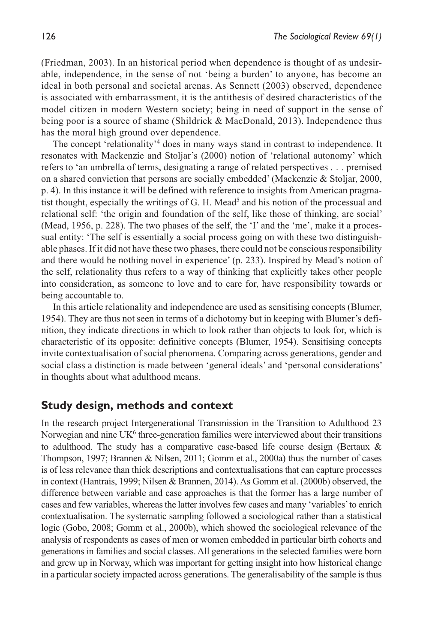(Friedman, 2003). In an historical period when dependence is thought of as undesirable, independence, in the sense of not 'being a burden' to anyone, has become an ideal in both personal and societal arenas. As Sennett (2003) observed, dependence is associated with embarrassment, it is the antithesis of desired characteristics of the model citizen in modern Western society; being in need of support in the sense of being poor is a source of shame (Shildrick & MacDonald, 2013). Independence thus has the moral high ground over dependence.

The concept 'relationality'<sup>4</sup> does in many ways stand in contrast to independence. It resonates with Mackenzie and Stoljar's (2000) notion of 'relational autonomy' which refers to 'an umbrella of terms, designating a range of related perspectives . . . premised on a shared conviction that persons are socially embedded' (Mackenzie & Stoljar, 2000, p. 4). In this instance it will be defined with reference to insights from American pragmatist thought, especially the writings of  $G$ . H. Mead<sup>5</sup> and his notion of the processual and relational self: 'the origin and foundation of the self, like those of thinking, are social' (Mead, 1956, p. 228). The two phases of the self, the 'I' and the 'me', make it a processual entity: 'The self is essentially a social process going on with these two distinguishable phases. If it did not have these two phases, there could not be conscious responsibility and there would be nothing novel in experience' (p. 233). Inspired by Mead's notion of the self, relationality thus refers to a way of thinking that explicitly takes other people into consideration, as someone to love and to care for, have responsibility towards or being accountable to.

In this article relationality and independence are used as sensitising concepts (Blumer, 1954). They are thus not seen in terms of a dichotomy but in keeping with Blumer's definition, they indicate directions in which to look rather than objects to look for, which is characteristic of its opposite: definitive concepts (Blumer, 1954). Sensitising concepts invite contextualisation of social phenomena. Comparing across generations, gender and social class a distinction is made between 'general ideals' and 'personal considerations' in thoughts about what adulthood means.

## **Study design, methods and context**

In the research project Intergenerational Transmission in the Transition to Adulthood 23 Norwegian and nine UK<sup>6</sup> three-generation families were interviewed about their transitions to adulthood. The study has a comparative case-based life course design (Bertaux  $\&$ Thompson, 1997; Brannen & Nilsen, 2011; Gomm et al., 2000a) thus the number of cases is of less relevance than thick descriptions and contextualisations that can capture processes in context (Hantrais, 1999; Nilsen & Brannen, 2014). As Gomm et al. (2000b) observed, the difference between variable and case approaches is that the former has a large number of cases and few variables, whereas the latter involves few cases and many 'variables' to enrich contextualisation. The systematic sampling followed a sociological rather than a statistical logic (Gobo, 2008; Gomm et al., 2000b), which showed the sociological relevance of the analysis of respondents as cases of men or women embedded in particular birth cohorts and generations in families and social classes. All generations in the selected families were born and grew up in Norway, which was important for getting insight into how historical change in a particular society impacted across generations. The generalisability of the sample is thus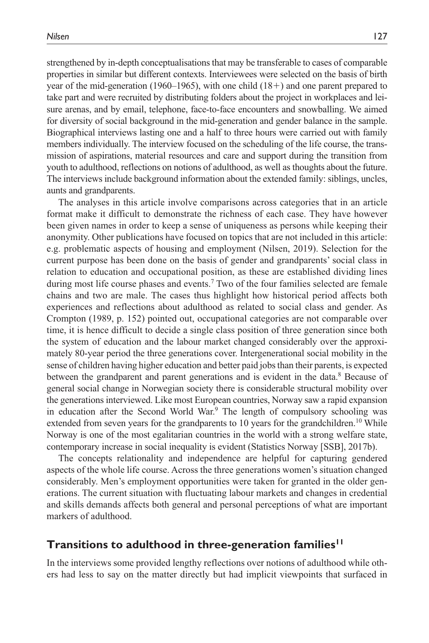strengthened by in-depth conceptualisations that may be transferable to cases of comparable properties in similar but different contexts. Interviewees were selected on the basis of birth year of the mid-generation (1960–1965), with one child (18+) and one parent prepared to take part and were recruited by distributing folders about the project in workplaces and leisure arenas, and by email, telephone, face-to-face encounters and snowballing. We aimed for diversity of social background in the mid-generation and gender balance in the sample. Biographical interviews lasting one and a half to three hours were carried out with family members individually. The interview focused on the scheduling of the life course, the transmission of aspirations, material resources and care and support during the transition from youth to adulthood, reflections on notions of adulthood, as well as thoughts about the future. The interviews include background information about the extended family: siblings, uncles, aunts and grandparents.

The analyses in this article involve comparisons across categories that in an article format make it difficult to demonstrate the richness of each case. They have however been given names in order to keep a sense of uniqueness as persons while keeping their anonymity. Other publications have focused on topics that are not included in this article: e.g. problematic aspects of housing and employment (Nilsen, 2019). Selection for the current purpose has been done on the basis of gender and grandparents' social class in relation to education and occupational position, as these are established dividing lines during most life course phases and events.<sup>7</sup> Two of the four families selected are female chains and two are male. The cases thus highlight how historical period affects both experiences and reflections about adulthood as related to social class and gender. As Crompton (1989, p. 152) pointed out, occupational categories are not comparable over time, it is hence difficult to decide a single class position of three generation since both the system of education and the labour market changed considerably over the approximately 80-year period the three generations cover. Intergenerational social mobility in the sense of children having higher education and better paid jobs than their parents, is expected between the grandparent and parent generations and is evident in the data.<sup>8</sup> Because of general social change in Norwegian society there is considerable structural mobility over the generations interviewed. Like most European countries, Norway saw a rapid expansion in education after the Second World War.<sup>9</sup> The length of compulsory schooling was extended from seven years for the grandparents to 10 years for the grandchildren.<sup>10</sup> While Norway is one of the most egalitarian countries in the world with a strong welfare state, contemporary increase in social inequality is evident (Statistics Norway [SSB], 2017b).

The concepts relationality and independence are helpful for capturing gendered aspects of the whole life course. Across the three generations women's situation changed considerably. Men's employment opportunities were taken for granted in the older generations. The current situation with fluctuating labour markets and changes in credential and skills demands affects both general and personal perceptions of what are important markers of adulthood.

## **Transitions to adulthood in three-generation families11**

In the interviews some provided lengthy reflections over notions of adulthood while others had less to say on the matter directly but had implicit viewpoints that surfaced in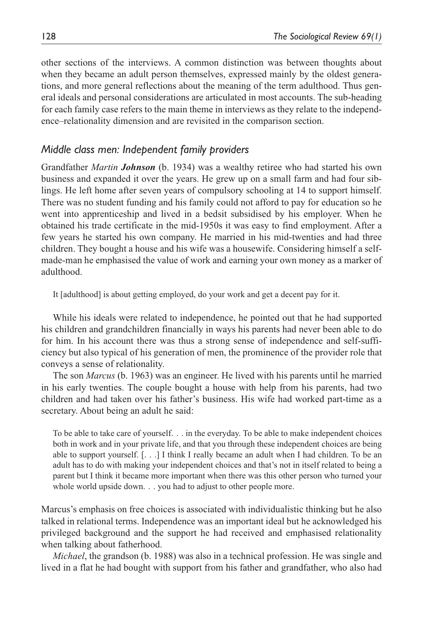other sections of the interviews. A common distinction was between thoughts about when they became an adult person themselves, expressed mainly by the oldest generations, and more general reflections about the meaning of the term adulthood. Thus general ideals and personal considerations are articulated in most accounts. The sub-heading for each family case refers to the main theme in interviews as they relate to the independence–relationality dimension and are revisited in the comparison section.

### *Middle class men: Independent family providers*

Grandfather *Martin Johnson* (b. 1934) was a wealthy retiree who had started his own business and expanded it over the years. He grew up on a small farm and had four siblings. He left home after seven years of compulsory schooling at 14 to support himself. There was no student funding and his family could not afford to pay for education so he went into apprenticeship and lived in a bedsit subsidised by his employer. When he obtained his trade certificate in the mid-1950s it was easy to find employment. After a few years he started his own company. He married in his mid-twenties and had three children. They bought a house and his wife was a housewife. Considering himself a selfmade-man he emphasised the value of work and earning your own money as a marker of adulthood.

It [adulthood] is about getting employed, do your work and get a decent pay for it.

While his ideals were related to independence, he pointed out that he had supported his children and grandchildren financially in ways his parents had never been able to do for him. In his account there was thus a strong sense of independence and self-sufficiency but also typical of his generation of men, the prominence of the provider role that conveys a sense of relationality.

The son *Marcus* (b. 1963) was an engineer. He lived with his parents until he married in his early twenties. The couple bought a house with help from his parents, had two children and had taken over his father's business. His wife had worked part-time as a secretary. About being an adult he said:

To be able to take care of yourself. . . in the everyday. To be able to make independent choices both in work and in your private life, and that you through these independent choices are being able to support yourself. [. . .] I think I really became an adult when I had children. To be an adult has to do with making your independent choices and that's not in itself related to being a parent but I think it became more important when there was this other person who turned your whole world upside down. . . you had to adjust to other people more.

Marcus's emphasis on free choices is associated with individualistic thinking but he also talked in relational terms. Independence was an important ideal but he acknowledged his privileged background and the support he had received and emphasised relationality when talking about fatherhood.

*Michael*, the grandson (b. 1988) was also in a technical profession. He was single and lived in a flat he had bought with support from his father and grandfather, who also had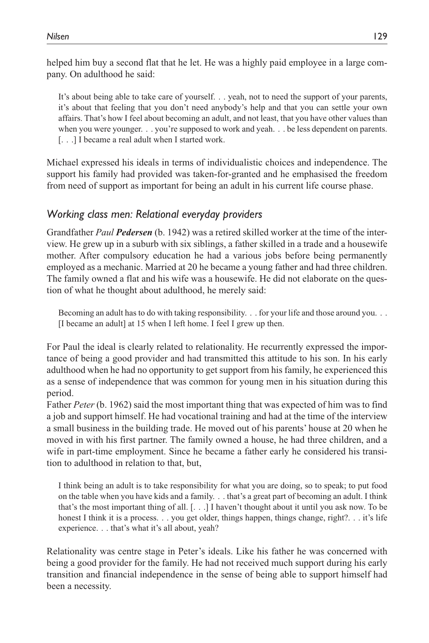helped him buy a second flat that he let. He was a highly paid employee in a large company. On adulthood he said:

It's about being able to take care of yourself. . . yeah, not to need the support of your parents, it's about that feeling that you don't need anybody's help and that you can settle your own affairs. That's how I feel about becoming an adult, and not least, that you have other values than when you were younger. . . you're supposed to work and yeah. . . be less dependent on parents. [. . .] I became a real adult when I started work.

Michael expressed his ideals in terms of individualistic choices and independence. The support his family had provided was taken-for-granted and he emphasised the freedom from need of support as important for being an adult in his current life course phase.

# *Working class men: Relational everyday providers*

Grandfather *Paul Pedersen* (b. 1942) was a retired skilled worker at the time of the interview. He grew up in a suburb with six siblings, a father skilled in a trade and a housewife mother. After compulsory education he had a various jobs before being permanently employed as a mechanic. Married at 20 he became a young father and had three children. The family owned a flat and his wife was a housewife. He did not elaborate on the question of what he thought about adulthood, he merely said:

Becoming an adult has to do with taking responsibility. . . for your life and those around you. . . [I became an adult] at 15 when I left home. I feel I grew up then.

For Paul the ideal is clearly related to relationality. He recurrently expressed the importance of being a good provider and had transmitted this attitude to his son. In his early adulthood when he had no opportunity to get support from his family, he experienced this as a sense of independence that was common for young men in his situation during this period.

Father *Peter* (b. 1962) said the most important thing that was expected of him was to find a job and support himself. He had vocational training and had at the time of the interview a small business in the building trade. He moved out of his parents' house at 20 when he moved in with his first partner. The family owned a house, he had three children, and a wife in part-time employment. Since he became a father early he considered his transition to adulthood in relation to that, but,

I think being an adult is to take responsibility for what you are doing, so to speak; to put food on the table when you have kids and a family. . . that's a great part of becoming an adult. I think that's the most important thing of all. [. . .] I haven't thought about it until you ask now. To be honest I think it is a process. . . you get older, things happen, things change, right?. . . it's life experience. . . that's what it's all about, yeah?

Relationality was centre stage in Peter's ideals. Like his father he was concerned with being a good provider for the family. He had not received much support during his early transition and financial independence in the sense of being able to support himself had been a necessity.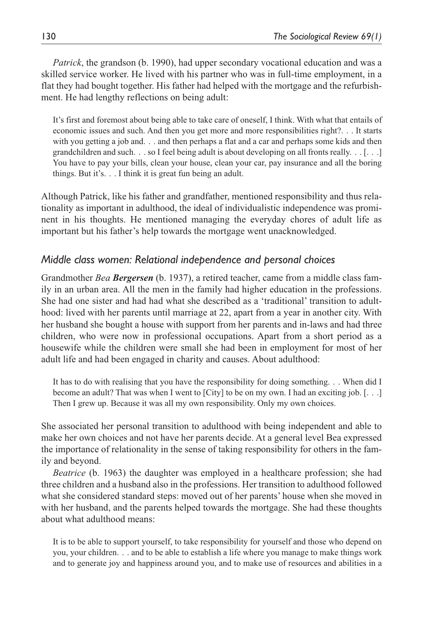*Patrick*, the grandson (b. 1990), had upper secondary vocational education and was a skilled service worker. He lived with his partner who was in full-time employment, in a flat they had bought together. His father had helped with the mortgage and the refurbishment. He had lengthy reflections on being adult:

It's first and foremost about being able to take care of oneself, I think. With what that entails of economic issues and such. And then you get more and more responsibilities right?. . . It starts with you getting a job and. . . and then perhaps a flat and a car and perhaps some kids and then grandchildren and such. . . so I feel being adult is about developing on all fronts really. . . [. . .] You have to pay your bills, clean your house, clean your car, pay insurance and all the boring things. But it's. . . I think it is great fun being an adult.

Although Patrick, like his father and grandfather, mentioned responsibility and thus relationality as important in adulthood, the ideal of individualistic independence was prominent in his thoughts. He mentioned managing the everyday chores of adult life as important but his father's help towards the mortgage went unacknowledged.

## *Middle class women: Relational independence and personal choices*

Grandmother *Bea Bergersen* (b. 1937), a retired teacher, came from a middle class family in an urban area. All the men in the family had higher education in the professions. She had one sister and had had what she described as a 'traditional' transition to adulthood: lived with her parents until marriage at 22, apart from a year in another city. With her husband she bought a house with support from her parents and in-laws and had three children, who were now in professional occupations. Apart from a short period as a housewife while the children were small she had been in employment for most of her adult life and had been engaged in charity and causes. About adulthood:

It has to do with realising that you have the responsibility for doing something. . . When did I become an adult? That was when I went to [City] to be on my own. I had an exciting job. [. . .] Then I grew up. Because it was all my own responsibility. Only my own choices.

She associated her personal transition to adulthood with being independent and able to make her own choices and not have her parents decide. At a general level Bea expressed the importance of relationality in the sense of taking responsibility for others in the family and beyond.

*Beatrice* (b. 1963) the daughter was employed in a healthcare profession; she had three children and a husband also in the professions. Her transition to adulthood followed what she considered standard steps: moved out of her parents' house when she moved in with her husband, and the parents helped towards the mortgage. She had these thoughts about what adulthood means:

It is to be able to support yourself, to take responsibility for yourself and those who depend on you, your children. . . and to be able to establish a life where you manage to make things work and to generate joy and happiness around you, and to make use of resources and abilities in a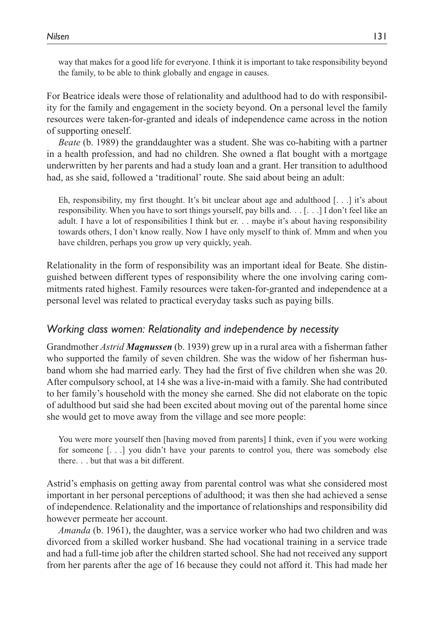way that makes for a good life for everyone. I think it is important to take responsibility beyond the family, to be able to think globally and engage in causes.

For Beatrice ideals were those of relationality and adulthood had to do with responsibility for the family and engagement in the society beyond. On a personal level the family resources were taken-for-granted and ideals of independence came across in the notion of supporting oneself.

*Beate* (b. 1989) the granddaughter was a student. She was co-habiting with a partner in a health profession, and had no children. She owned a flat bought with a mortgage underwritten by her parents and had a study loan and a grant. Her transition to adulthood had, as she said, followed a 'traditional' route. She said about being an adult:

Eh, responsibility, my first thought. It's bit unclear about age and adulthood [. . .] it's about responsibility. When you have to sort things yourself, pay bills and. . . [. . .] I don't feel like an adult. I have a lot of responsibilities I think but er. . . maybe it's about having responsibility towards others, I don't know really. Now I have only myself to think of. Mmm and when you have children, perhaps you grow up very quickly, yeah.

Relationality in the form of responsibility was an important ideal for Beate. She distinguished between different types of responsibility where the one involving caring commitments rated highest. Family resources were taken-for-granted and independence at a personal level was related to practical everyday tasks such as paying bills.

### *Working class women: Relationality and independence by necessity*

Grandmother *Astrid Magnussen* (b. 1939) grew up in a rural area with a fisherman father who supported the family of seven children. She was the widow of her fisherman husband whom she had married early. They had the first of five children when she was 20. After compulsory school, at 14 she was a live-in-maid with a family. She had contributed to her family's household with the money she earned. She did not elaborate on the topic of adulthood but said she had been excited about moving out of the parental home since she would get to move away from the village and see more people:

You were more yourself then [having moved from parents] I think, even if you were working for someone [. . .] you didn't have your parents to control you, there was somebody else there. . . but that was a bit different.

Astrid's emphasis on getting away from parental control was what she considered most important in her personal perceptions of adulthood; it was then she had achieved a sense of independence. Relationality and the importance of relationships and responsibility did however permeate her account.

*Amanda* (b. 1961), the daughter, was a service worker who had two children and was divorced from a skilled worker husband. She had vocational training in a service trade and had a full-time job after the children started school. She had not received any support from her parents after the age of 16 because they could not afford it. This had made her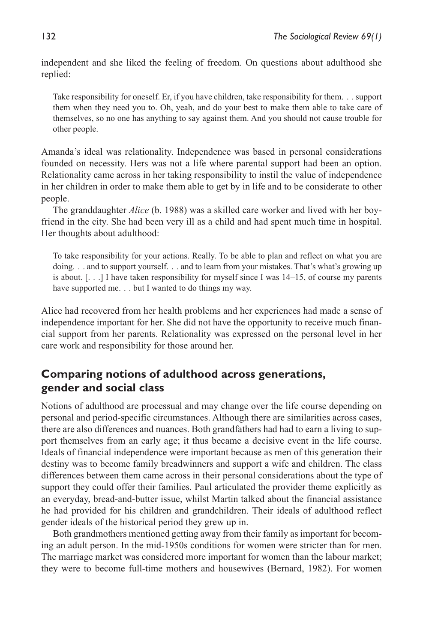independent and she liked the feeling of freedom. On questions about adulthood she replied:

Take responsibility for oneself. Er, if you have children, take responsibility for them. . . support them when they need you to. Oh, yeah, and do your best to make them able to take care of themselves, so no one has anything to say against them. And you should not cause trouble for other people.

Amanda's ideal was relationality. Independence was based in personal considerations founded on necessity. Hers was not a life where parental support had been an option. Relationality came across in her taking responsibility to instil the value of independence in her children in order to make them able to get by in life and to be considerate to other people.

The granddaughter *Alice* (b. 1988) was a skilled care worker and lived with her boyfriend in the city. She had been very ill as a child and had spent much time in hospital. Her thoughts about adulthood:

To take responsibility for your actions. Really. To be able to plan and reflect on what you are doing. . . and to support yourself. . . and to learn from your mistakes. That's what's growing up is about.  $\lceil \ldots \rceil$  I have taken responsibility for myself since I was 14–15, of course my parents have supported me. . . but I wanted to do things my way.

Alice had recovered from her health problems and her experiences had made a sense of independence important for her. She did not have the opportunity to receive much financial support from her parents. Relationality was expressed on the personal level in her care work and responsibility for those around her.

# **Comparing notions of adulthood across generations, gender and social class**

Notions of adulthood are processual and may change over the life course depending on personal and period-specific circumstances. Although there are similarities across cases, there are also differences and nuances. Both grandfathers had had to earn a living to support themselves from an early age; it thus became a decisive event in the life course. Ideals of financial independence were important because as men of this generation their destiny was to become family breadwinners and support a wife and children. The class differences between them came across in their personal considerations about the type of support they could offer their families. Paul articulated the provider theme explicitly as an everyday, bread-and-butter issue, whilst Martin talked about the financial assistance he had provided for his children and grandchildren. Their ideals of adulthood reflect gender ideals of the historical period they grew up in.

Both grandmothers mentioned getting away from their family as important for becoming an adult person. In the mid-1950s conditions for women were stricter than for men. The marriage market was considered more important for women than the labour market; they were to become full-time mothers and housewives (Bernard, 1982). For women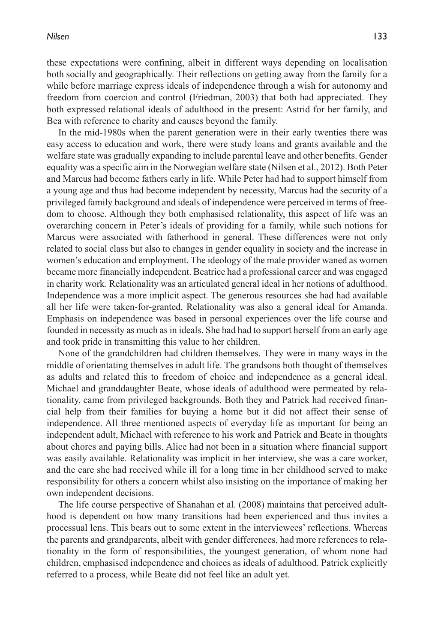these expectations were confining, albeit in different ways depending on localisation both socially and geographically. Their reflections on getting away from the family for a while before marriage express ideals of independence through a wish for autonomy and freedom from coercion and control (Friedman, 2003) that both had appreciated. They both expressed relational ideals of adulthood in the present: Astrid for her family, and Bea with reference to charity and causes beyond the family.

In the mid-1980s when the parent generation were in their early twenties there was easy access to education and work, there were study loans and grants available and the welfare state was gradually expanding to include parental leave and other benefits. Gender equality was a specific aim in the Norwegian welfare state (Nilsen et al., 2012). Both Peter and Marcus had become fathers early in life. While Peter had had to support himself from a young age and thus had become independent by necessity, Marcus had the security of a privileged family background and ideals of independence were perceived in terms of freedom to choose. Although they both emphasised relationality, this aspect of life was an overarching concern in Peter's ideals of providing for a family, while such notions for Marcus were associated with fatherhood in general. These differences were not only related to social class but also to changes in gender equality in society and the increase in women's education and employment. The ideology of the male provider waned as women became more financially independent. Beatrice had a professional career and was engaged in charity work. Relationality was an articulated general ideal in her notions of adulthood. Independence was a more implicit aspect. The generous resources she had had available all her life were taken-for-granted. Relationality was also a general ideal for Amanda. Emphasis on independence was based in personal experiences over the life course and founded in necessity as much as in ideals. She had had to support herself from an early age and took pride in transmitting this value to her children.

None of the grandchildren had children themselves. They were in many ways in the middle of orientating themselves in adult life. The grandsons both thought of themselves as adults and related this to freedom of choice and independence as a general ideal. Michael and granddaughter Beate, whose ideals of adulthood were permeated by relationality, came from privileged backgrounds. Both they and Patrick had received financial help from their families for buying a home but it did not affect their sense of independence. All three mentioned aspects of everyday life as important for being an independent adult, Michael with reference to his work and Patrick and Beate in thoughts about chores and paying bills. Alice had not been in a situation where financial support was easily available. Relationality was implicit in her interview, she was a care worker, and the care she had received while ill for a long time in her childhood served to make responsibility for others a concern whilst also insisting on the importance of making her own independent decisions.

The life course perspective of Shanahan et al. (2008) maintains that perceived adulthood is dependent on how many transitions had been experienced and thus invites a processual lens. This bears out to some extent in the interviewees' reflections. Whereas the parents and grandparents, albeit with gender differences, had more references to relationality in the form of responsibilities, the youngest generation, of whom none had children, emphasised independence and choices as ideals of adulthood. Patrick explicitly referred to a process, while Beate did not feel like an adult yet.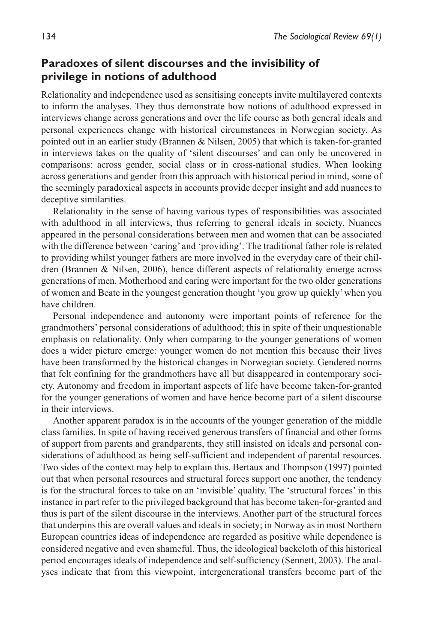# **Paradoxes of silent discourses and the invisibility of privilege in notions of adulthood**

Relationality and independence used as sensitising concepts invite multilayered contexts to inform the analyses. They thus demonstrate how notions of adulthood expressed in interviews change across generations and over the life course as both general ideals and personal experiences change with historical circumstances in Norwegian society. As pointed out in an earlier study (Brannen & Nilsen, 2005) that which is taken-for-granted in interviews takes on the quality of 'silent discourses' and can only be uncovered in comparisons: across gender, social class or in cross-national studies. When looking across generations and gender from this approach with historical period in mind, some of the seemingly paradoxical aspects in accounts provide deeper insight and add nuances to deceptive similarities.

Relationality in the sense of having various types of responsibilities was associated with adulthood in all interviews, thus referring to general ideals in society. Nuances appeared in the personal considerations between men and women that can be associated with the difference between 'caring' and 'providing'. The traditional father role is related to providing whilst younger fathers are more involved in the everyday care of their children (Brannen & Nilsen, 2006), hence different aspects of relationality emerge across generations of men. Motherhood and caring were important for the two older generations of women and Beate in the youngest generation thought 'you grow up quickly' when you have children.

Personal independence and autonomy were important points of reference for the grandmothers' personal considerations of adulthood; this in spite of their unquestionable emphasis on relationality. Only when comparing to the younger generations of women does a wider picture emerge: younger women do not mention this because their lives have been transformed by the historical changes in Norwegian society. Gendered norms that felt confining for the grandmothers have all but disappeared in contemporary society. Autonomy and freedom in important aspects of life have become taken-for-granted for the younger generations of women and have hence become part of a silent discourse in their interviews.

Another apparent paradox is in the accounts of the younger generation of the middle class families. In spite of having received generous transfers of financial and other forms of support from parents and grandparents, they still insisted on ideals and personal considerations of adulthood as being self-sufficient and independent of parental resources. Two sides of the context may help to explain this. Bertaux and Thompson (1997) pointed out that when personal resources and structural forces support one another, the tendency is for the structural forces to take on an 'invisible' quality. The 'structural forces' in this instance in part refer to the privileged background that has become taken-for-granted and thus is part of the silent discourse in the interviews. Another part of the structural forces that underpins this are overall values and ideals in society; in Norway as in most Northern European countries ideas of independence are regarded as positive while dependence is considered negative and even shameful. Thus, the ideological backcloth of this historical period encourages ideals of independence and self-sufficiency (Sennett, 2003). The analyses indicate that from this viewpoint, intergenerational transfers become part of the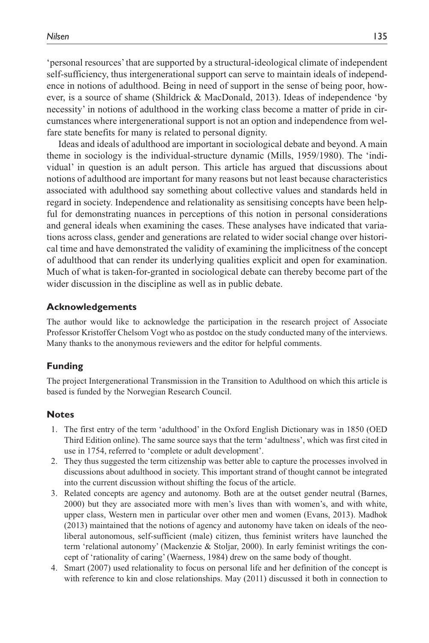'personal resources' that are supported by a structural-ideological climate of independent self-sufficiency, thus intergenerational support can serve to maintain ideals of independence in notions of adulthood. Being in need of support in the sense of being poor, however, is a source of shame (Shildrick & MacDonald, 2013). Ideas of independence 'by necessity' in notions of adulthood in the working class become a matter of pride in circumstances where intergenerational support is not an option and independence from welfare state benefits for many is related to personal dignity.

Ideas and ideals of adulthood are important in sociological debate and beyond. A main theme in sociology is the individual-structure dynamic (Mills, 1959/1980). The 'individual' in question is an adult person. This article has argued that discussions about notions of adulthood are important for many reasons but not least because characteristics associated with adulthood say something about collective values and standards held in regard in society. Independence and relationality as sensitising concepts have been helpful for demonstrating nuances in perceptions of this notion in personal considerations and general ideals when examining the cases. These analyses have indicated that variations across class, gender and generations are related to wider social change over historical time and have demonstrated the validity of examining the implicitness of the concept of adulthood that can render its underlying qualities explicit and open for examination. Much of what is taken-for-granted in sociological debate can thereby become part of the wider discussion in the discipline as well as in public debate.

#### **Acknowledgements**

The author would like to acknowledge the participation in the research project of Associate Professor Kristoffer Chelsom Vogt who as postdoc on the study conducted many of the interviews. Many thanks to the anonymous reviewers and the editor for helpful comments.

#### **Funding**

The project Intergenerational Transmission in the Transition to Adulthood on which this article is based is funded by the Norwegian Research Council.

#### **Notes**

- 1. The first entry of the term 'adulthood' in the Oxford English Dictionary was in 1850 (OED Third Edition online). The same source says that the term 'adultness', which was first cited in use in 1754, referred to 'complete or adult development'.
- 2. They thus suggested the term citizenship was better able to capture the processes involved in discussions about adulthood in society. This important strand of thought cannot be integrated into the current discussion without shifting the focus of the article.
- 3. Related concepts are agency and autonomy. Both are at the outset gender neutral (Barnes, 2000) but they are associated more with men's lives than with women's, and with white, upper class, Western men in particular over other men and women (Evans, 2013). Madhok (2013) maintained that the notions of agency and autonomy have taken on ideals of the neoliberal autonomous, self-sufficient (male) citizen, thus feminist writers have launched the term 'relational autonomy' (Mackenzie & Stoljar, 2000). In early feminist writings the concept of 'rationality of caring' (Waerness, 1984) drew on the same body of thought.
- 4. Smart (2007) used relationality to focus on personal life and her definition of the concept is with reference to kin and close relationships. May (2011) discussed it both in connection to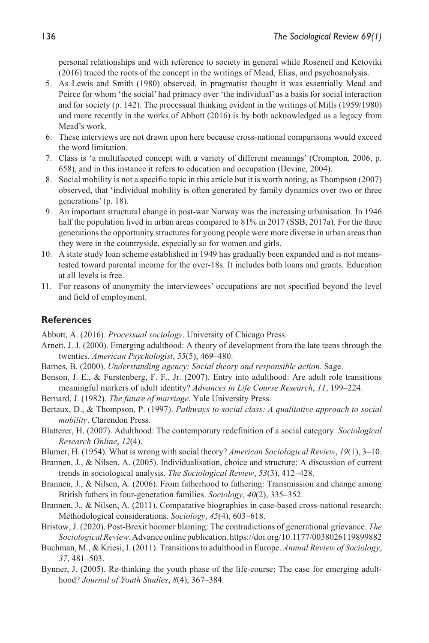personal relationships and with reference to society in general while Roseneil and Ketoviki (2016) traced the roots of the concept in the writings of Mead, Elias, and psychoanalysis.

- 5. As Lewis and Smith (1980) observed, in pragmatist thought it was essentially Mead and Peirce for whom 'the social' had primacy over 'the individual' as a basis for social interaction and for society (p. 142). The processual thinking evident in the writings of Mills (1959/1980) and more recently in the works of Abbott (2016) is by both acknowledged as a legacy from Mead's work.
- 6. These interviews are not drawn upon here because cross-national comparisons would exceed the word limitation.
- 7. Class is 'a multifaceted concept with a variety of different meanings' (Crompton, 2006, p. 658), and in this instance it refers to education and occupation (Devine, 2004).
- 8. Social mobility is not a specific topic in this article but it is worth noting, as Thompson (2007) observed, that 'individual mobility is often generated by family dynamics over two or three generations' (p. 18).
- 9. An important structural change in post-war Norway was the increasing urbanisation. In 1946 half the population lived in urban areas compared to 81% in 2017 (SSB, 2017a). For the three generations the opportunity structures for young people were more diverse in urban areas than they were in the countryside, especially so for women and girls.
- 10. A state study loan scheme established in 1949 has gradually been expanded and is not meanstested toward parental income for the over-18s. It includes both loans and grants. Education at all levels is free.
- 11. For reasons of anonymity the interviewees' occupations are not specified beyond the level and field of employment.

### **References**

Abbott, A. (2016). *Processual sociology*. University of Chicago Press.

- Arnett, J. J. (2000). Emerging adulthood: A theory of development from the late teens through the twenties. *American Psychologist*, *55*(5), 469–480.
- Barnes, B. (2000). *Understanding agency: Social theory and responsible action*. Sage.
- Benson, J. E., & Furstenberg, F. F., Jr. (2007). Entry into adulthood: Are adult role transitions meaningful markers of adult identity? *Advances in Life Course Research*, *11*, 199–224.
- Bernard, J. (1982). *The future of marriage*. Yale University Press.
- Bertaux, D., & Thompson, P. (1997). *Pathways to social class: A qualitative approach to social mobility*. Clarendon Press.
- Blatterer, H. (2007). Adulthood: The contemporary redefinition of a social category. *Sociological Research Online*, *12*(4).
- Blumer, H. (1954). What is wrong with social theory? *American Sociological Review*, *19*(1), 3–10.
- Brannen, J., & Nilsen, A. (2005). Individualisation, choice and structure: A discussion of current trends in sociological analysis. *The Sociological Review*, *53*(3), 412–428.
- Brannen, J., & Nilsen, A. (2006). From fatherhood to fathering: Transmission and change among British fathers in four-generation families. *Sociology*, *40*(2), 335–352.
- Brannen, J., & Nilsen, A. (2011). Comparative biographies in case-based cross-national research: Methodological considerations. *Sociology*, *45*(4), 603–618.
- Bristow, J. (2020). Post-Brexit boomer blaming: The contradictions of generational grievance. *The Sociological Review*. Advance online publication.<https://doi.org/10.1177/0038026119899882>
- Buchman, M., & Kriesi, I. (2011). Transitions to adulthood in Europe. *Annual Review of Sociology*, *37*, 481–503.
- Bynner, J. (2005). Re-thinking the youth phase of the life-course: The case for emerging adulthood? *Journal of Youth Studies*, *8*(4), 367–384.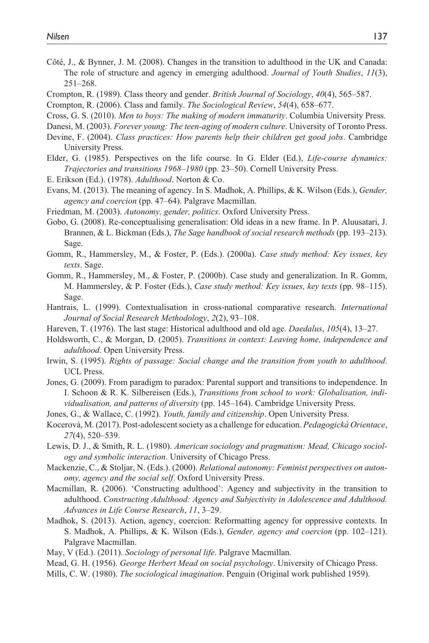- Côté, J., & Bynner, J. M. (2008). Changes in the transition to adulthood in the UK and Canada: The role of structure and agency in emerging adulthood. *Journal of Youth Studies*, *11*(3), 251–268.
- Crompton, R. (1989). Class theory and gender. *British Journal of Sociology*, *40*(4), 565–587.
- Crompton, R. (2006). Class and family. *The Sociological Review*, *54*(4), 658–677.
- Cross, G. S. (2010). *Men to boys: The making of modern immaturity*. Columbia University Press.
- Danesi, M. (2003). *Forever young: The teen-aging of modern culture*. University of Toronto Press.
- Devine, F. (2004). *Class practices: How parents help their children get good jobs*. Cambridge University Press.
- Elder, G. (1985). Perspectives on the life course. In G. Elder (Ed.), *Life-course dynamics: Trajectories and transitions 1968–1980* (pp. 23–50). Cornell University Press.
- E. Erikson (Ed.). (1978). *Adulthood*. Norton & Co.
- Evans, M. (2013). The meaning of agency. In S. Madhok, A. Phillips, & K. Wilson (Eds.), *Gender, agency and coercion* (pp. 47–64). Palgrave Macmillan.
- Friedman, M. (2003). *Autonomy, gender, politics*. Oxford University Press.
- Gobo, G. (2008). Re-conceptualising generalisation: Old ideas in a new frame. In P. Aluusatari, J. Brannen, & L. Bickman (Eds.), *The Sage handbook of social research methods* (pp. 193–213). Sage.
- Gomm, R., Hammersley, M., & Foster, P. (Eds.). (2000a). *Case study method: Key issues, key texts*. Sage.
- Gomm, R., Hammersley, M., & Foster, P. (2000b). Case study and generalization. In R. Gomm, M. Hammersley, & P. Foster (Eds.), *Case study method: Key issues, key texts* (pp. 98–115). Sage.
- Hantrais, L. (1999). Contextualisation in cross-national comparative research. *International Journal of Social Research Methodology*, *2*(2), 93–108.
- Hareven, T. (1976). The last stage: Historical adulthood and old age. *Daedalus*, *105*(4), 13–27.
- Holdsworth, C., & Morgan, D. (2005). *Transitions in context: Leaving home, independence and adulthood*. Open University Press.
- Irwin, S. (1995). *Rights of passage: Social change and the transition from youth to adulthood*. UCL Press.
- Jones, G. (2009). From paradigm to paradox: Parental support and transitions to independence. In I. Schoon & R. K. Silbereisen (Eds.), *Transitions from school to work: Globalisation, individualisation, and patterns of diversity* (pp. 145–164). Cambridge University Press.
- Jones, G., & Wallace, C. (1992). *Youth, family and citizenship*. Open University Press.
- Kocerovà, M. (2017). Post-adolescent society as a challenge for education. *Pedagogickà Orientace*, *27*(4), 520–539.
- Lewis, D. J., & Smith, R. L. (1980). *American sociology and pragmatism: Mead, Chicago sociology and symbolic interaction*. University of Chicago Press.
- Mackenzie, C., & Stoljar, N. (Eds.). (2000). *Relational autonomy: Feminist perspectives on autonomy, agency and the social self*. Oxford University Press.
- Macmillan, R. (2006). 'Constructing adulthood': Agency and subjectivity in the transition to adulthood. *Constructing Adulthood: Agency and Subjectivity in Adolescence and Adulthood. Advances in Life Course Research*, *11*, 3–29.
- Madhok, S. (2013). Action, agency, coercion: Reformatting agency for oppressive contexts. In S. Madhok, A. Phillips, & K. Wilson (Eds.), *Gender, agency and coercion* (pp. 102–121). Palgrave Macmillan.
- May, V (Ed.). (2011). *Sociology of personal life*. Palgrave Macmillan.
- Mead, G. H. (1956). *George Herbert Mead on social psychology*. University of Chicago Press.
- Mills, C. W. (1980). *The sociological imagination*. Penguin (Original work published 1959).